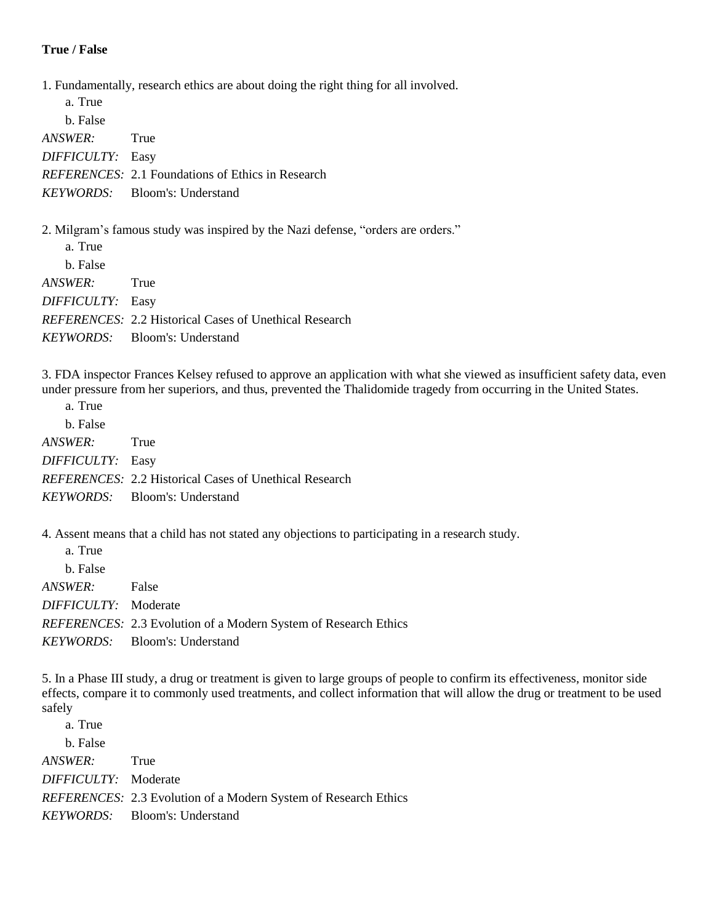#### **True / False**

1. Fundamentally, research ethics are about doing the right thing for all involved.

a. True b. False *ANSWER:* True *DIFFICULTY:* Easy *REFERENCES:* 2.1 Foundations of Ethics in Research *KEYWORDS:* Bloom's: Understand

2. Milgram's famous study was inspired by the Nazi defense, "orders are orders."

a. True b. False *ANSWER:* True *DIFFICULTY:* Easy *REFERENCES:* 2.2 Historical Cases of Unethical Research *KEYWORDS:* Bloom's: Understand

3. FDA inspector Frances Kelsey refused to approve an application with what she viewed as insufficient safety data, even under pressure from her superiors, and thus, prevented the Thalidomide tragedy from occurring in the United States.

a. True

b. False

*ANSWER:* True *DIFFICULTY:* Easy *REFERENCES:* 2.2 Historical Cases of Unethical Research *KEYWORDS:* Bloom's: Understand

4. Assent means that a child has not stated any objections to participating in a research study.

| a. True              |                                                                        |
|----------------------|------------------------------------------------------------------------|
| b. False             |                                                                        |
| ANSWER:              | False                                                                  |
| DIFFICULTY: Moderate |                                                                        |
|                      | <b>REFERENCES: 2.3 Evolution of a Modern System of Research Ethics</b> |
|                      | <i>KEYWORDS:</i> Bloom's: Understand                                   |

5. In a Phase III study, a drug or treatment is given to large groups of people to confirm its effectiveness, monitor side effects, compare it to commonly used treatments, and collect information that will allow the drug or treatment to be used safely

a. True b. False *ANSWER:* True *DIFFICULTY:* Moderate *REFERENCES:* 2.3 Evolution of a Modern System of Research Ethics *KEYWORDS:* Bloom's: Understand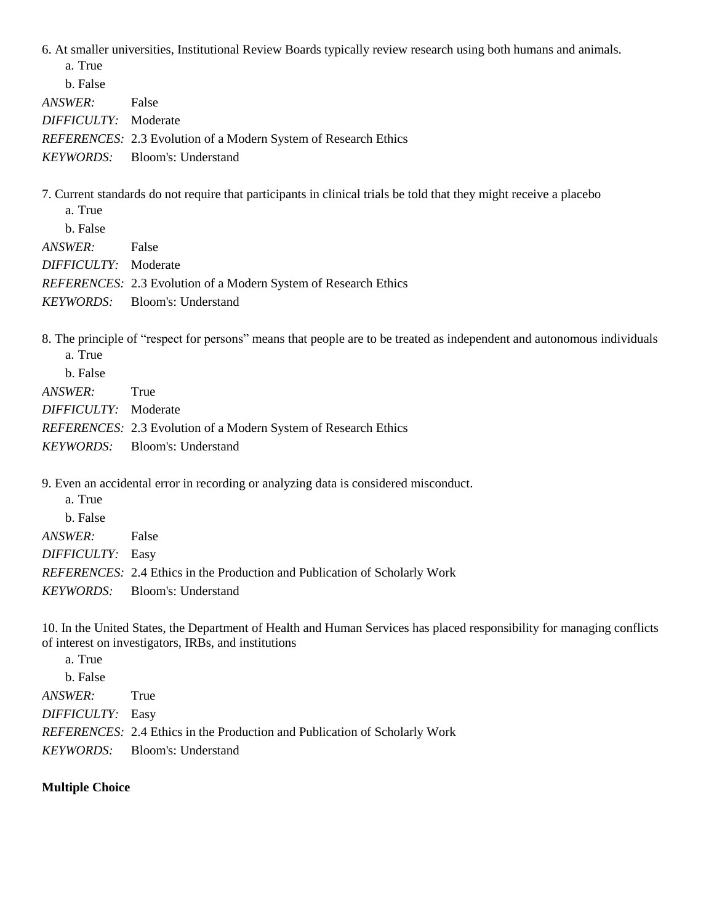6. At smaller universities, Institutional Review Boards typically review research using both humans and animals.

| a. True                     |                                                                        |
|-----------------------------|------------------------------------------------------------------------|
| b. False                    |                                                                        |
| ANSWER:                     | False                                                                  |
| <i>DIFFICULTY:</i> Moderate |                                                                        |
|                             | <i>REFERENCES:</i> 2.3 Evolution of a Modern System of Research Ethics |
|                             | <i>KEYWORDS:</i> Bloom's: Understand                                   |

7. Current standards do not require that participants in clinical trials be told that they might receive a placebo

| a. True              |                                                                        |
|----------------------|------------------------------------------------------------------------|
| b. False             |                                                                        |
| ANSWER:              | False                                                                  |
| DIFFICULTY: Moderate |                                                                        |
|                      | <b>REFERENCES: 2.3 Evolution of a Modern System of Research Ethics</b> |
|                      | <i>KEYWORDS:</i> Bloom's: Understand                                   |

8. The principle of "respect for persons" means that people are to be treated as independent and autonomous individuals a. True

b. False *ANSWER:* True *DIFFICULTY:* Moderate *REFERENCES:* 2.3 Evolution of a Modern System of Research Ethics *KEYWORDS:* Bloom's: Understand

9. Even an accidental error in recording or analyzing data is considered misconduct.

| a. True          |                                                                                   |
|------------------|-----------------------------------------------------------------------------------|
| b. False         |                                                                                   |
| ANSWER:          | False                                                                             |
| DIFFICULTY: Easy |                                                                                   |
|                  | <i>REFERENCES:</i> 2.4 Ethics in the Production and Publication of Scholarly Work |
|                  | <i>KEYWORDS:</i> Bloom's: Understand                                              |

10. In the United States, the Department of Health and Human Services has placed responsibility for managing conflicts of interest on investigators, IRBs, and institutions

a. True b. False *ANSWER:* True *DIFFICULTY:* Easy *REFERENCES:* 2.4 Ethics in the Production and Publication of Scholarly Work *KEYWORDS:* Bloom's: Understand

**Multiple Choice**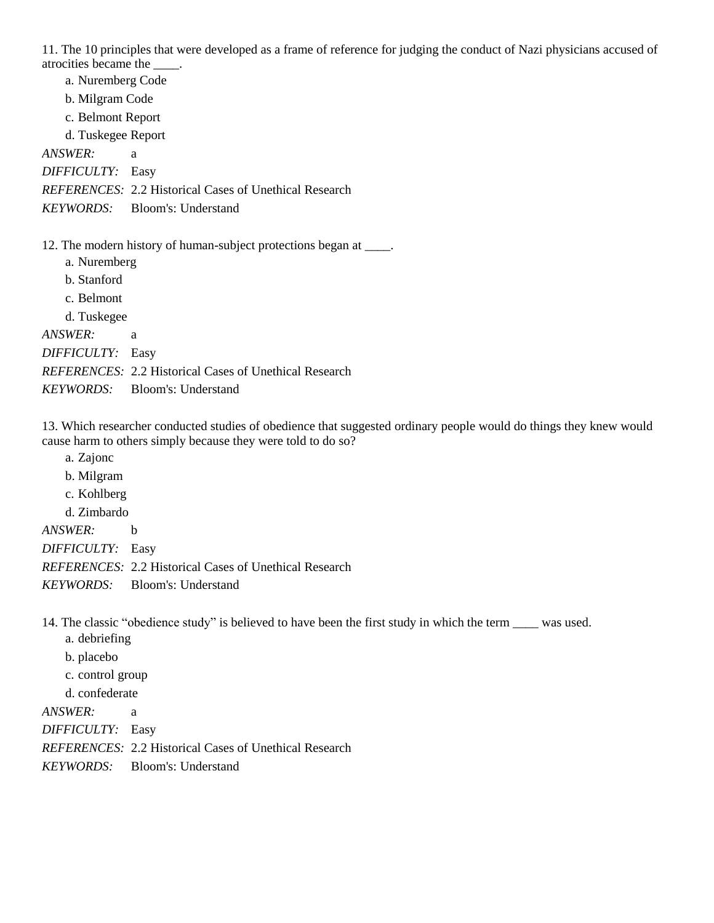11. The 10 principles that were developed as a frame of reference for judging the conduct of Nazi physicians accused of atrocities became the \_\_\_\_.

a. Nuremberg Code

b. Milgram Code

c. Belmont Report

d. Tuskegee Report

*ANSWER:* a

*DIFFICULTY:* Easy

*REFERENCES:* 2.2 Historical Cases of Unethical Research

*KEYWORDS:* Bloom's: Understand

12. The modern history of human-subject protections began at  $\qquad \qquad$ .

a. Nuremberg

b. Stanford

c. Belmont

d. Tuskegee

*ANSWER:* a

*DIFFICULTY:* Easy

*REFERENCES:* 2.2 Historical Cases of Unethical Research

*KEYWORDS:* Bloom's: Understand

13. Which researcher conducted studies of obedience that suggested ordinary people would do things they knew would cause harm to others simply because they were told to do so?

a. Zajonc

b. Milgram

c. Kohlberg

d. Zimbardo

*ANSWER:* b *DIFFICULTY:* Easy

*REFERENCES:* 2.2 Historical Cases of Unethical Research *KEYWORDS:* Bloom's: Understand

14. The classic "obedience study" is believed to have been the first study in which the term \_\_\_\_ was used. a. debriefing

b. placebo

c. control group

d. confederate

*ANSWER:* a

*DIFFICULTY:* Easy

*REFERENCES:* 2.2 Historical Cases of Unethical Research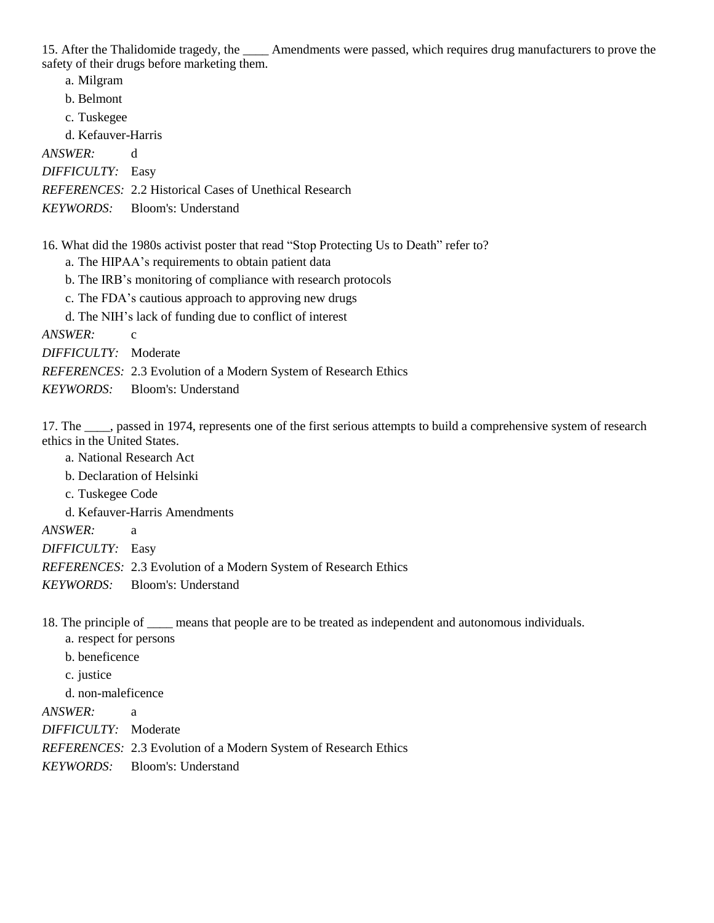15. After the Thalidomide tragedy, the \_\_\_\_\_ Amendments were passed, which requires drug manufacturers to prove the safety of their drugs before marketing them.

a. Milgram

b. Belmont

c. Tuskegee

d. Kefauver-Harris

*ANSWER:* d

*DIFFICULTY:* Easy

*REFERENCES:* 2.2 Historical Cases of Unethical Research

*KEYWORDS:* Bloom's: Understand

16. What did the 1980s activist poster that read "Stop Protecting Us to Death" refer to?

- a. The HIPAA's requirements to obtain patient data
- b. The IRB's monitoring of compliance with research protocols
- c. The FDA's cautious approach to approving new drugs
- d. The NIH's lack of funding due to conflict of interest

*ANSWER:* c

*DIFFICULTY:* Moderate

*REFERENCES:* 2.3 Evolution of a Modern System of Research Ethics

*KEYWORDS:* Bloom's: Understand

17. The \_\_\_\_, passed in 1974, represents one of the first serious attempts to build a comprehensive system of research ethics in the United States.

a. National Research Act

b. Declaration of Helsinki

c. Tuskegee Code

d. Kefauver-Harris Amendments

*ANSWER:* a

*DIFFICULTY:* Easy

*REFERENCES:* 2.3 Evolution of a Modern System of Research Ethics

*KEYWORDS:* Bloom's: Understand

18. The principle of <u>equilibration</u> means that people are to be treated as independent and autonomous individuals.

a. respect for persons

b. beneficence

c. justice

d. non-maleficence

*ANSWER:* a

*DIFFICULTY:* Moderate

*REFERENCES:* 2.3 Evolution of a Modern System of Research Ethics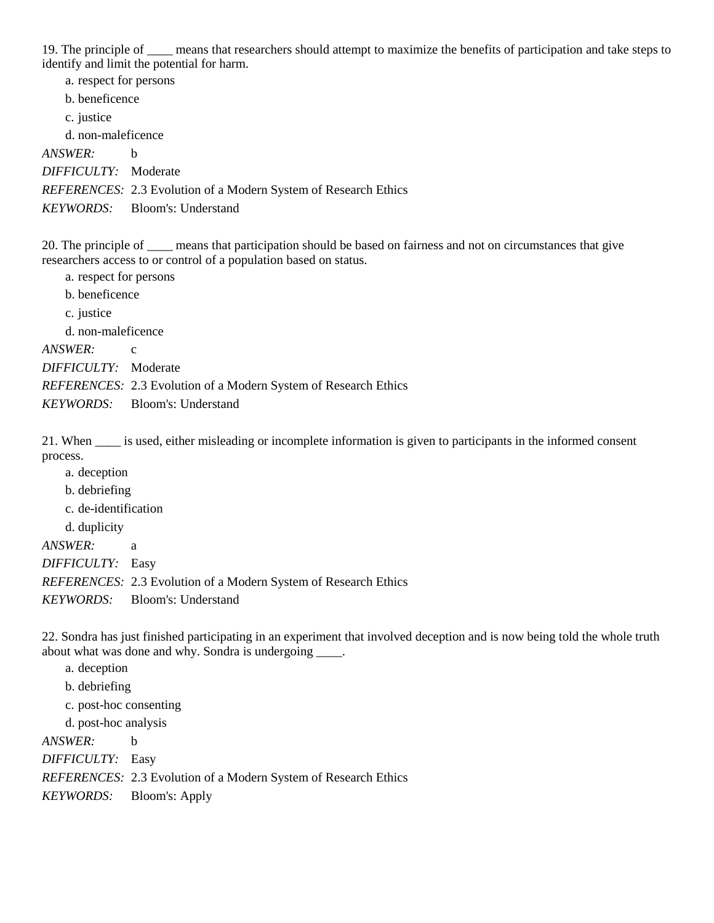19. The principle of \_\_\_\_ means that researchers should attempt to maximize the benefits of participation and take steps to identify and limit the potential for harm.

a. respect for persons

b. beneficence

c. justice

d. non-maleficence

*ANSWER:* b

*DIFFICULTY:* Moderate

*REFERENCES:* 2.3 Evolution of a Modern System of Research Ethics

*KEYWORDS:* Bloom's: Understand

20. The principle of means that participation should be based on fairness and not on circumstances that give researchers access to or control of a population based on status.

a. respect for persons

b. beneficence

c. justice

d. non-maleficence

*ANSWER:* c

*DIFFICULTY:* Moderate

*REFERENCES:* 2.3 Evolution of a Modern System of Research Ethics

*KEYWORDS:* Bloom's: Understand

21. When \_\_\_\_ is used, either misleading or incomplete information is given to participants in the informed consent process.

a. deception

b. debriefing

c. de-identification

d. duplicity

*ANSWER:* a *DIFFICULTY:* Easy *REFERENCES:* 2.3 Evolution of a Modern System of Research Ethics *KEYWORDS:* Bloom's: Understand

22. Sondra has just finished participating in an experiment that involved deception and is now being told the whole truth about what was done and why. Sondra is undergoing \_\_\_\_.

a. deception

b. debriefing

c. post-hoc consenting

d. post-hoc analysis

*ANSWER:* b

*DIFFICULTY:* Easy

*REFERENCES:* 2.3 Evolution of a Modern System of Research Ethics

*KEYWORDS:* Bloom's: Apply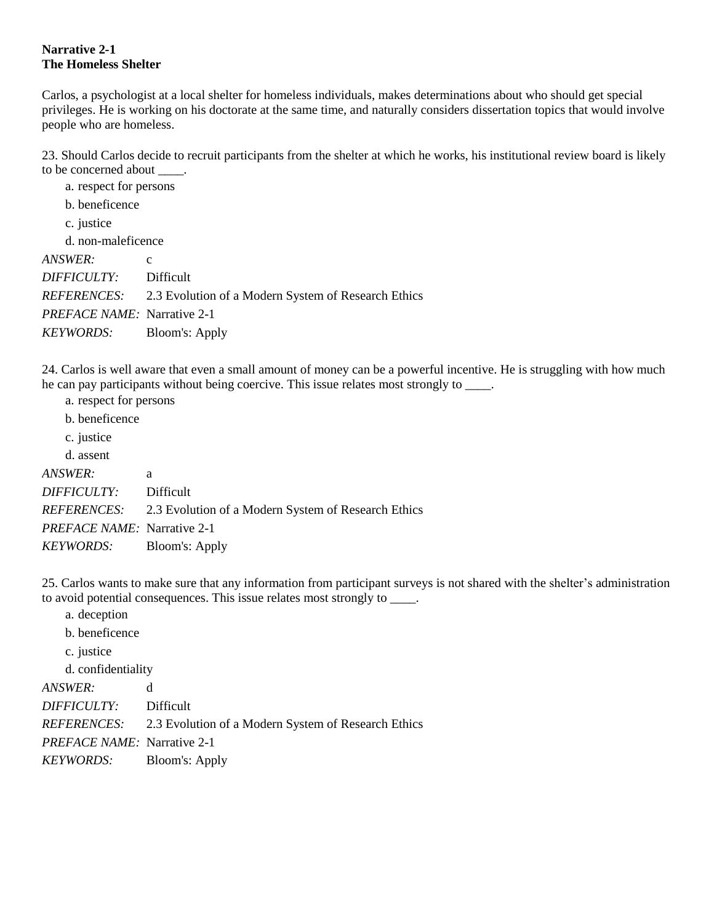## **Narrative 2-1 The Homeless Shelter**

Carlos, a psychologist at a local shelter for homeless individuals, makes determinations about who should get special privileges. He is working on his doctorate at the same time, and naturally considers dissertation topics that would involve people who are homeless.

23. Should Carlos decide to recruit participants from the shelter at which he works, his institutional review board is likely to be concerned about \_\_\_\_.

a. respect for persons b. beneficence c. justice d. non-maleficence *ANSWER:* c *DIFFICULTY:* Difficult *REFERENCES:* 2.3 Evolution of a Modern System of Research Ethics *PREFACE NAME:* Narrative 2-1 *KEYWORDS:* Bloom's: Apply

24. Carlos is well aware that even a small amount of money can be a powerful incentive. He is struggling with how much he can pay participants without being coercive. This issue relates most strongly to \_\_\_\_.

| a. respect for persons              |                                                     |
|-------------------------------------|-----------------------------------------------------|
| b. beneficence                      |                                                     |
| c. justice                          |                                                     |
| d. assent                           |                                                     |
| ANSWER:                             | a                                                   |
| <i>DIFFICULTY:</i>                  | Difficult                                           |
| <i>REFERENCES:</i>                  | 2.3 Evolution of a Modern System of Research Ethics |
| <i>PREFACE NAME</i> : Narrative 2-1 |                                                     |
| <b>KEYWORDS:</b>                    | <b>Bloom's: Apply</b>                               |
|                                     |                                                     |

25. Carlos wants to make sure that any information from participant surveys is not shared with the shelter's administration to avoid potential consequences. This issue relates most strongly to \_\_\_\_.

a. deception b. beneficence c. justice d. confidentiality *ANSWER:* d *DIFFICULTY:* Difficult *REFERENCES:* 2.3 Evolution of a Modern System of Research Ethics *PREFACE NAME:* Narrative 2-1 *KEYWORDS:* Bloom's: Apply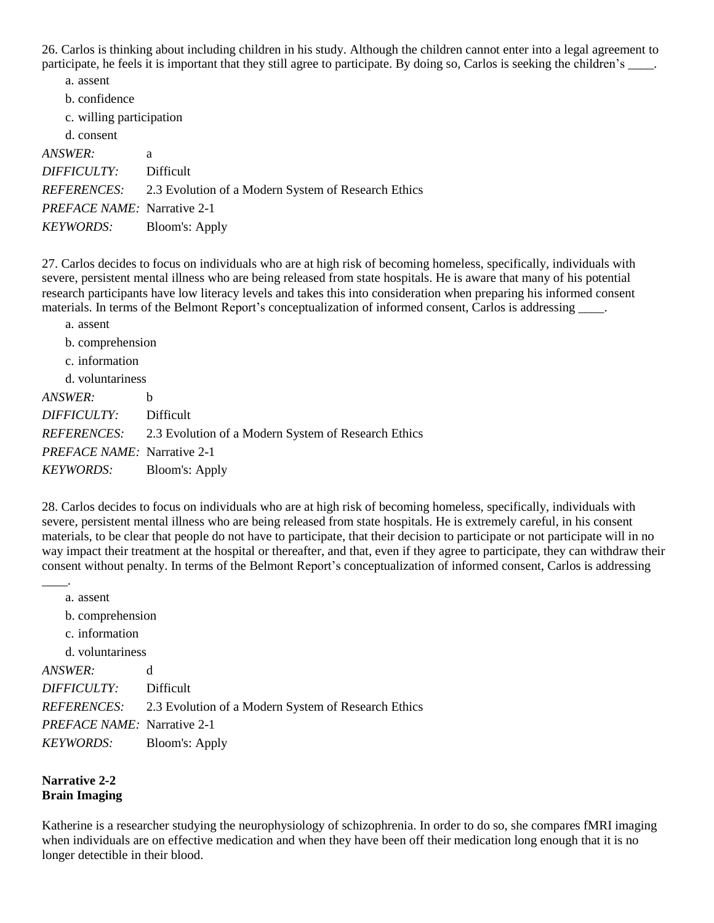26. Carlos is thinking about including children in his study. Although the children cannot enter into a legal agreement to participate, he feels it is important that they still agree to participate. By doing so, Carlos is seeking the children's \_\_\_\_.

a. assent b. confidence c. willing participation d. consent *ANSWER:* a *DIFFICULTY:* Difficult *REFERENCES:* 2.3 Evolution of a Modern System of Research Ethics *PREFACE NAME:* Narrative 2-1 *KEYWORDS:* Bloom's: Apply

27. Carlos decides to focus on individuals who are at high risk of becoming homeless, specifically, individuals with severe, persistent mental illness who are being released from state hospitals. He is aware that many of his potential research participants have low literacy levels and takes this into consideration when preparing his informed consent materials. In terms of the Belmont Report's conceptualization of informed consent, Carlos is addressing \_\_\_\_.

a. assent b. comprehension c. information d. voluntariness *ANSWER:* b *DIFFICULTY:* Difficult *REFERENCES:* 2.3 Evolution of a Modern System of Research Ethics *PREFACE NAME:* Narrative 2-1 *KEYWORDS:* Bloom's: Apply

28. Carlos decides to focus on individuals who are at high risk of becoming homeless, specifically, individuals with severe, persistent mental illness who are being released from state hospitals. He is extremely careful, in his consent materials, to be clear that people do not have to participate, that their decision to participate or not participate will in no way impact their treatment at the hospital or thereafter, and that, even if they agree to participate, they can withdraw their consent without penalty. In terms of the Belmont Report's conceptualization of informed consent, Carlos is addressing

a. assent

 $\overline{\phantom{a}}$ .

- b. comprehension
- c. information

d. voluntariness

*ANSWER:* d *DIFFICULTY:* Difficult *REFERENCES:* 2.3 Evolution of a Modern System of Research Ethics *PREFACE NAME:* Narrative 2-1 *KEYWORDS:* Bloom's: Apply

### **Narrative 2-2 Brain Imaging**

Katherine is a researcher studying the neurophysiology of schizophrenia. In order to do so, she compares fMRI imaging when individuals are on effective medication and when they have been off their medication long enough that it is no longer detectible in their blood.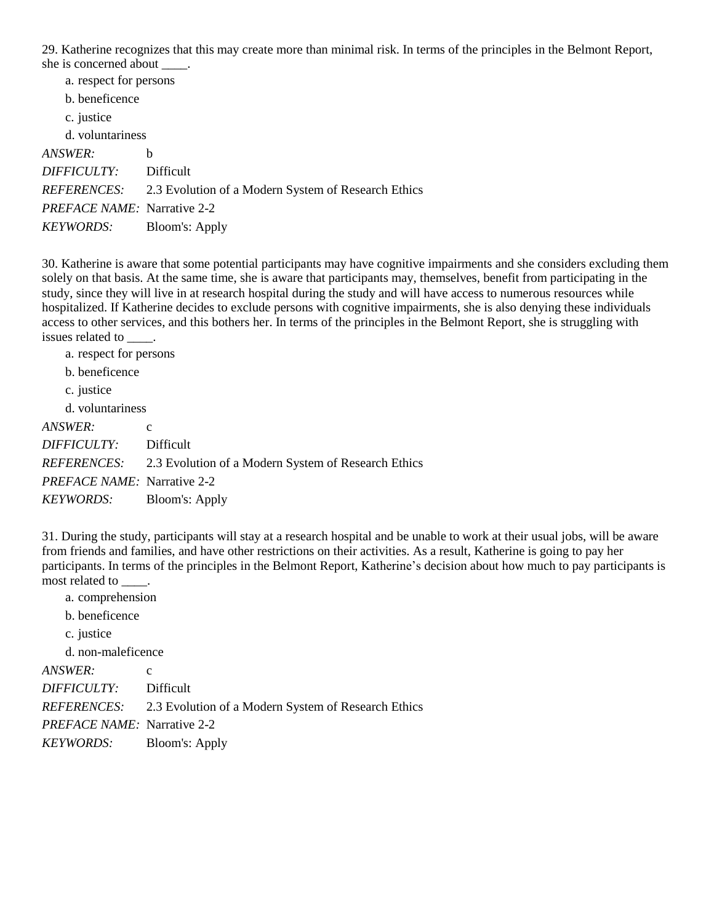29. Katherine recognizes that this may create more than minimal risk. In terms of the principles in the Belmont Report, she is concerned about

a. respect for persons b. beneficence c. justice d. voluntariness *ANSWER:* b *DIFFICULTY:* Difficult *REFERENCES:* 2.3 Evolution of a Modern System of Research Ethics *PREFACE NAME:* Narrative 2-2 *KEYWORDS:* Bloom's: Apply

30. Katherine is aware that some potential participants may have cognitive impairments and she considers excluding them solely on that basis. At the same time, she is aware that participants may, themselves, benefit from participating in the study, since they will live in at research hospital during the study and will have access to numerous resources while hospitalized. If Katherine decides to exclude persons with cognitive impairments, she is also denying these individuals access to other services, and this bothers her. In terms of the principles in the Belmont Report, she is struggling with issues related to \_\_\_\_.

a. respect for persons

b. beneficence

c. justice

d. voluntariness

*ANSWER:* c *DIFFICULTY:* Difficult *REFERENCES:* 2.3 Evolution of a Modern System of Research Ethics *PREFACE NAME:* Narrative 2-2 *KEYWORDS:* Bloom's: Apply

31. During the study, participants will stay at a research hospital and be unable to work at their usual jobs, will be aware from friends and families, and have other restrictions on their activities. As a result, Katherine is going to pay her participants. In terms of the principles in the Belmont Report, Katherine's decision about how much to pay participants is most related to  $\qquad$ .

a. comprehension

- b. beneficence
- c. justice

d. non-maleficence

*ANSWER:* c *DIFFICULTY:* Difficult *REFERENCES:* 2.3 Evolution of a Modern System of Research Ethics *PREFACE NAME:* Narrative 2-2 *KEYWORDS:* Bloom's: Apply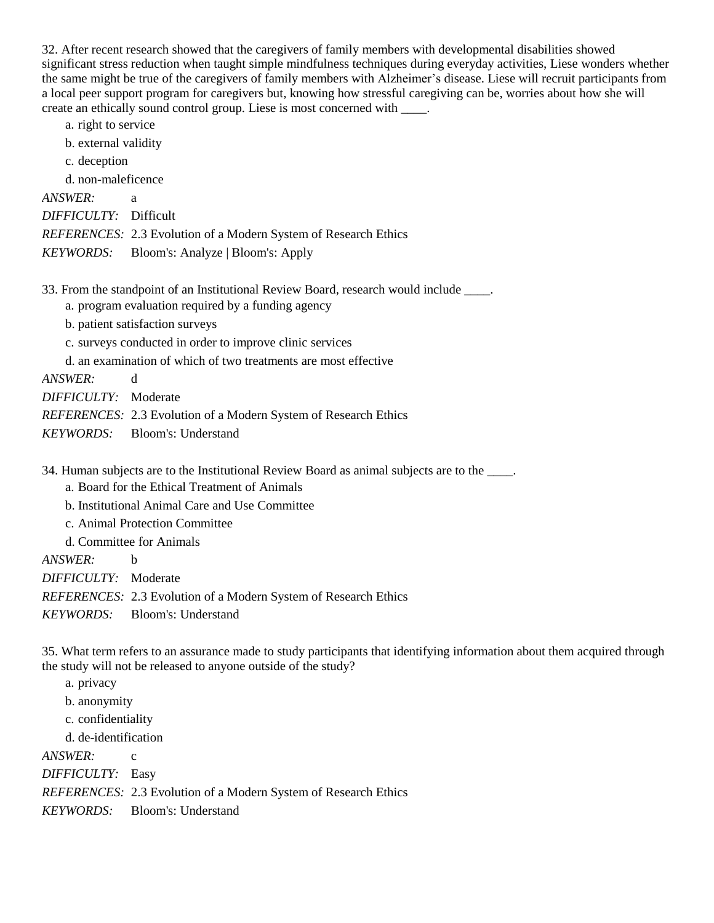32. After recent research showed that the caregivers of family members with developmental disabilities showed significant stress reduction when taught simple mindfulness techniques during everyday activities, Liese wonders whether the same might be true of the caregivers of family members with Alzheimer's disease. Liese will recruit participants from a local peer support program for caregivers but, knowing how stressful caregiving can be, worries about how she will create an ethically sound control group. Liese is most concerned with \_\_\_\_.

a. right to service

b. external validity

c. deception

d. non-maleficence

*ANSWER:* a *DIFFICULTY:* Difficult *REFERENCES:* 2.3 Evolution of a Modern System of Research Ethics

*KEYWORDS:* Bloom's: Analyze | Bloom's: Apply

33. From the standpoint of an Institutional Review Board, research would include  $\blacksquare$ .

a. program evaluation required by a funding agency

b. patient satisfaction surveys

c. surveys conducted in order to improve clinic services

d. an examination of which of two treatments are most effective

*ANSWER:* d

*DIFFICULTY:* Moderate

*REFERENCES:* 2.3 Evolution of a Modern System of Research Ethics

*KEYWORDS:* Bloom's: Understand

34. Human subjects are to the Institutional Review Board as animal subjects are to the

a. Board for the Ethical Treatment of Animals

b. Institutional Animal Care and Use Committee

c. Animal Protection Committee

d. Committee for Animals

*ANSWER:* b

*DIFFICULTY:* Moderate

*REFERENCES:* 2.3 Evolution of a Modern System of Research Ethics

*KEYWORDS:* Bloom's: Understand

35. What term refers to an assurance made to study participants that identifying information about them acquired through the study will not be released to anyone outside of the study?

a. privacy

b. anonymity

c. confidentiality

d. de-identification

*ANSWER:* c

*DIFFICULTY:* Easy

*REFERENCES:* 2.3 Evolution of a Modern System of Research Ethics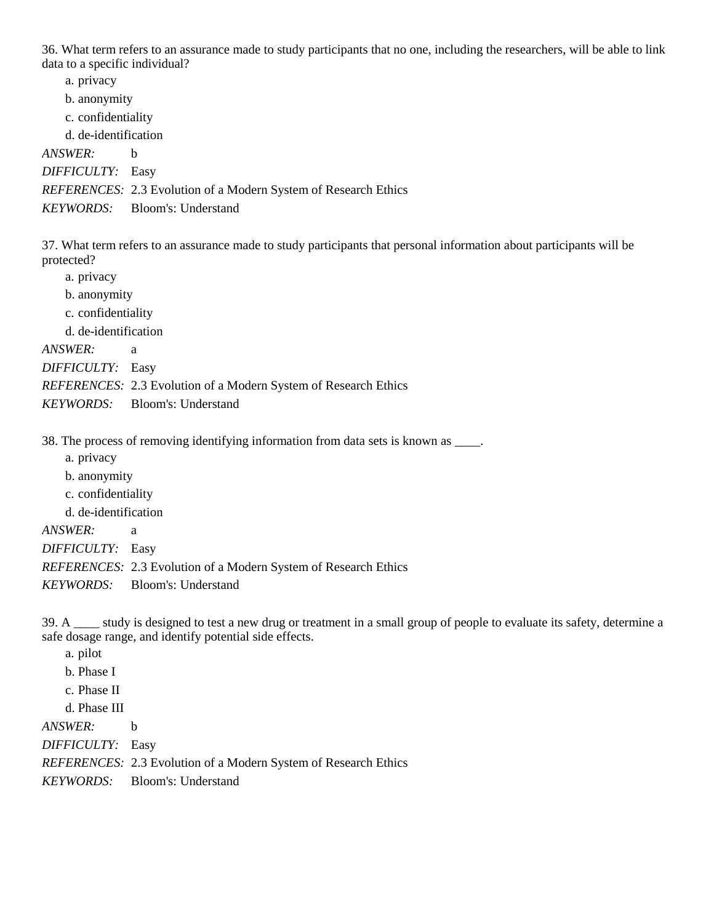36. What term refers to an assurance made to study participants that no one, including the researchers, will be able to link data to a specific individual?

a. privacy

b. anonymity

c. confidentiality

d. de-identification

*ANSWER:* b

*DIFFICULTY:* Easy

*REFERENCES:* 2.3 Evolution of a Modern System of Research Ethics

*KEYWORDS:* Bloom's: Understand

37. What term refers to an assurance made to study participants that personal information about participants will be protected?

a. privacy

b. anonymity

c. confidentiality

d. de-identification

*ANSWER:* a

*DIFFICULTY:* Easy

*REFERENCES:* 2.3 Evolution of a Modern System of Research Ethics

*KEYWORDS:* Bloom's: Understand

38. The process of removing identifying information from data sets is known as \_\_\_\_.

a. privacy

b. anonymity

c. confidentiality

d. de-identification

*ANSWER:* a

*DIFFICULTY:* Easy

*REFERENCES:* 2.3 Evolution of a Modern System of Research Ethics

*KEYWORDS:* Bloom's: Understand

39. A \_\_\_\_ study is designed to test a new drug or treatment in a small group of people to evaluate its safety, determine a safe dosage range, and identify potential side effects.

a. pilot

b. Phase I

c. Phase II

d. Phase III

*ANSWER:* b

*DIFFICULTY:* Easy

*REFERENCES:* 2.3 Evolution of a Modern System of Research Ethics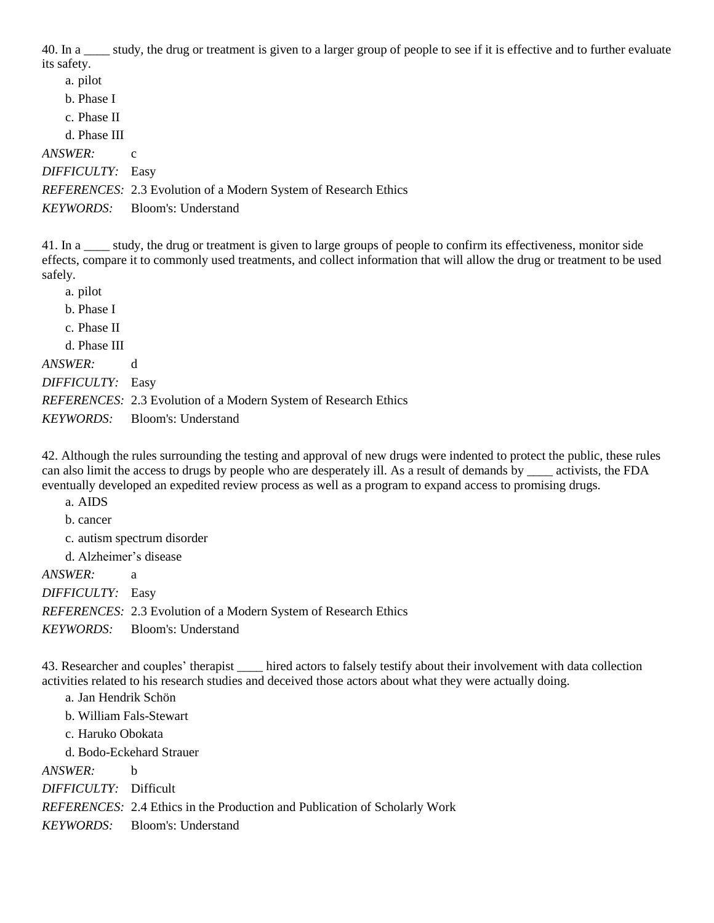40. In a \_\_\_\_ study, the drug or treatment is given to a larger group of people to see if it is effective and to further evaluate its safety.

a. pilot

b. Phase I

c. Phase II

d. Phase III

*ANSWER:* c

*DIFFICULTY:* Easy

*REFERENCES:* 2.3 Evolution of a Modern System of Research Ethics

*KEYWORDS:* Bloom's: Understand

41. In a study, the drug or treatment is given to large groups of people to confirm its effectiveness, monitor side effects, compare it to commonly used treatments, and collect information that will allow the drug or treatment to be used safely.

a. pilot

b. Phase I

c. Phase II

d. Phase III

*ANSWER:* d

*DIFFICULTY:* Easy

*REFERENCES:* 2.3 Evolution of a Modern System of Research Ethics

*KEYWORDS:* Bloom's: Understand

42. Although the rules surrounding the testing and approval of new drugs were indented to protect the public, these rules can also limit the access to drugs by people who are desperately ill. As a result of demands by activists, the FDA eventually developed an expedited review process as well as a program to expand access to promising drugs.

a. AIDS

b. cancer

c. autism spectrum disorder

d. Alzheimer's disease

*ANSWER:* a

*DIFFICULTY:* Easy

*REFERENCES:* 2.3 Evolution of a Modern System of Research Ethics

*KEYWORDS:* Bloom's: Understand

43. Researcher and couples' therapist \_\_\_\_\_ hired actors to falsely testify about their involvement with data collection activities related to his research studies and deceived those actors about what they were actually doing.

a. Jan Hendrik Schön

b. William Fals-Stewart

c. Haruko Obokata

d. Bodo-Eckehard Strauer

*ANSWER:* b

*DIFFICULTY:* Difficult

*REFERENCES:* 2.4 Ethics in the Production and Publication of Scholarly Work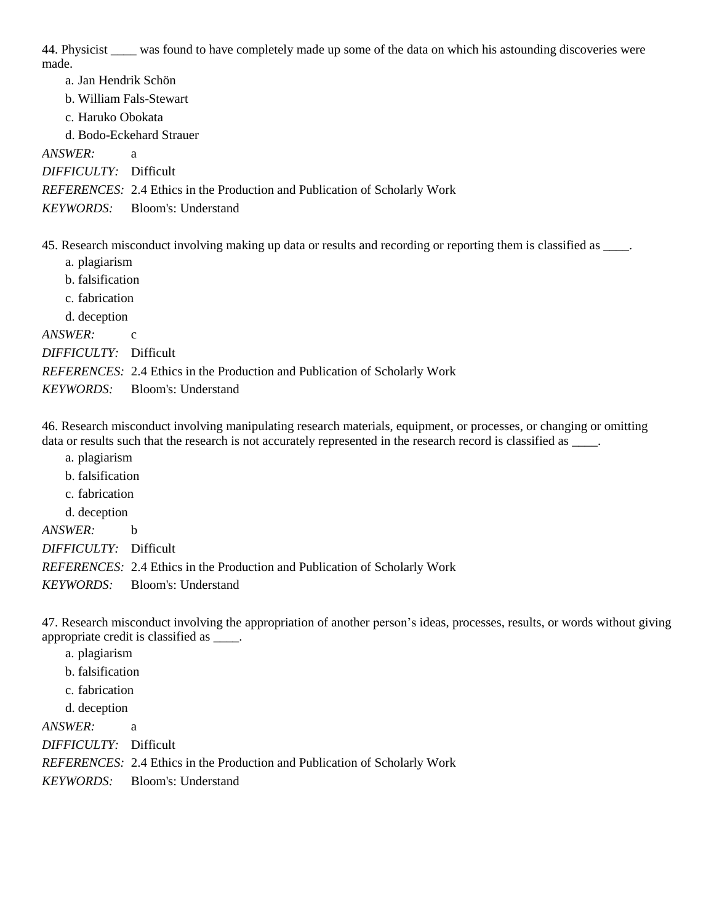44. Physicist \_\_\_\_\_ was found to have completely made up some of the data on which his astounding discoveries were made.

a. Jan Hendrik Schön

b. William Fals-Stewart

c. Haruko Obokata

d. Bodo-Eckehard Strauer

*ANSWER:* a

*DIFFICULTY:* Difficult

*REFERENCES:* 2.4 Ethics in the Production and Publication of Scholarly Work

*KEYWORDS:* Bloom's: Understand

45. Research misconduct involving making up data or results and recording or reporting them is classified as  $\ldots$ .

- a. plagiarism
- b. falsification
- c. fabrication

d. deception

*ANSWER:* c

*DIFFICULTY:* Difficult

*REFERENCES:* 2.4 Ethics in the Production and Publication of Scholarly Work

*KEYWORDS:* Bloom's: Understand

46. Research misconduct involving manipulating research materials, equipment, or processes, or changing or omitting data or results such that the research is not accurately represented in the research record is classified as  $\_\_\_\$ .

a. plagiarism

b. falsification

c. fabrication

d. deception

*ANSWER:* b *DIFFICULTY:* Difficult

*REFERENCES:* 2.4 Ethics in the Production and Publication of Scholarly Work

*KEYWORDS:* Bloom's: Understand

47. Research misconduct involving the appropriation of another person's ideas, processes, results, or words without giving appropriate credit is classified as \_\_\_\_.

a. plagiarism

b. falsification

c. fabrication

d. deception

*ANSWER:* a

*DIFFICULTY:* Difficult

*REFERENCES:* 2.4 Ethics in the Production and Publication of Scholarly Work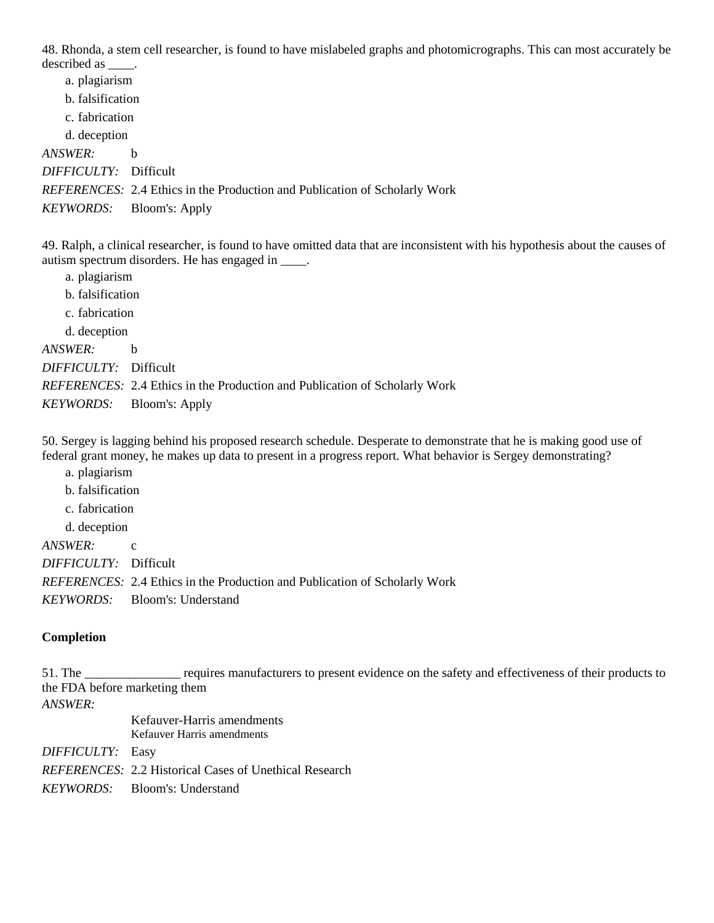48. Rhonda, a stem cell researcher, is found to have mislabeled graphs and photomicrographs. This can most accurately be described as  $\qquad$ .

a. plagiarism

b. falsification

c. fabrication

d. deception

*ANSWER:* b

*DIFFICULTY:* Difficult

*REFERENCES:* 2.4 Ethics in the Production and Publication of Scholarly Work

*KEYWORDS:* Bloom's: Apply

49. Ralph, a clinical researcher, is found to have omitted data that are inconsistent with his hypothesis about the causes of autism spectrum disorders. He has engaged in \_\_\_\_.

a. plagiarism

b. falsification

c. fabrication

d. deception

*ANSWER:* b *DIFFICULTY:* Difficult

*REFERENCES:* 2.4 Ethics in the Production and Publication of Scholarly Work

*KEYWORDS:* Bloom's: Apply

50. Sergey is lagging behind his proposed research schedule. Desperate to demonstrate that he is making good use of federal grant money, he makes up data to present in a progress report. What behavior is Sergey demonstrating?

a. plagiarism

b. falsification

c. fabrication

d. deception

*ANSWER:* c *DIFFICULTY:* Difficult *REFERENCES:* 2.4 Ethics in the Production and Publication of Scholarly Work *KEYWORDS:* Bloom's: Understand

# **Completion**

51. The \_\_\_\_\_\_\_\_\_\_\_\_\_\_\_ requires manufacturers to present evidence on the safety and effectiveness of their products to the FDA before marketing them

*ANSWER:* 

|                  | Kefauver-Harris amendments<br>Kefauver Harris amendments      |
|------------------|---------------------------------------------------------------|
| DIFFICULTY: Easy |                                                               |
|                  | <i>REFERENCES:</i> 2.2 Historical Cases of Unethical Research |
|                  | <i>KEYWORDS</i> : Bloom's: Understand                         |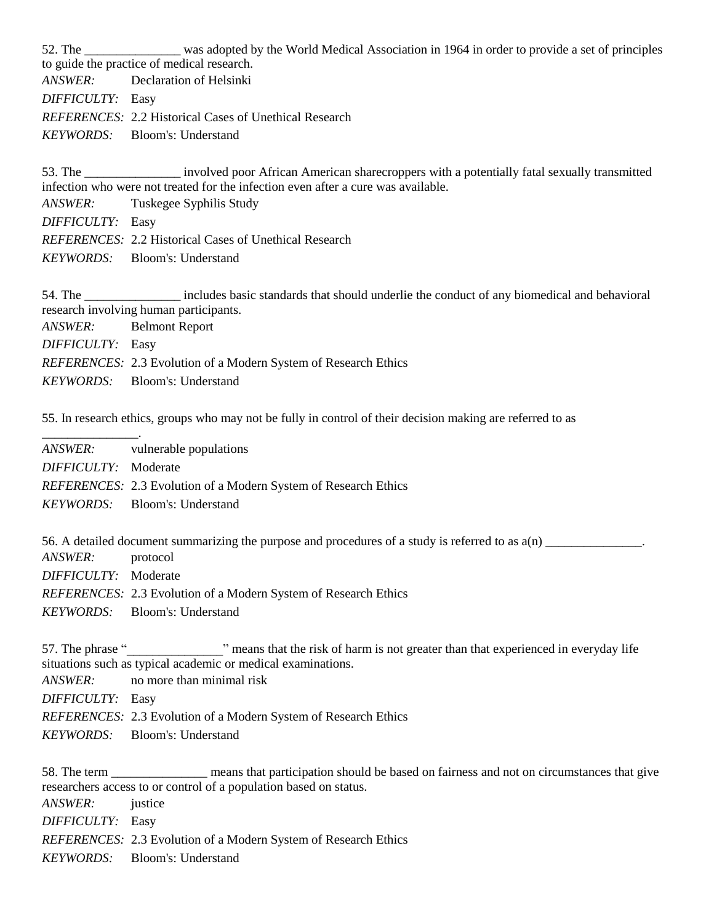52. The \_\_\_\_\_\_\_\_\_\_\_\_\_\_\_ was adopted by the World Medical Association in 1964 in order to provide a set of principles to guide the practice of medical research.

*ANSWER:* Declaration of Helsinki

*DIFFICULTY:* Easy

*REFERENCES:* 2.2 Historical Cases of Unethical Research

*KEYWORDS:* Bloom's: Understand

53. The \_\_\_\_\_\_\_\_\_\_\_\_\_\_\_ involved poor African American sharecroppers with a potentially fatal sexually transmitted infection who were not treated for the infection even after a cure was available.

*ANSWER:* Tuskegee Syphilis Study

*DIFFICULTY:* Easy

*REFERENCES:* 2.2 Historical Cases of Unethical Research

*KEYWORDS:* Bloom's: Understand

54. The \_\_\_\_\_\_\_\_\_\_\_\_\_\_\_ includes basic standards that should underlie the conduct of any biomedical and behavioral research involving human participants.

*ANSWER:* Belmont Report

*DIFFICULTY:* Easy

*REFERENCES:* 2.3 Evolution of a Modern System of Research Ethics

*KEYWORDS:* Bloom's: Understand

55. In research ethics, groups who may not be fully in control of their decision making are referred to as

|                      | <i>ANSWER</i> : vulnerable populations                                 |
|----------------------|------------------------------------------------------------------------|
| DIFFICULTY: Moderate |                                                                        |
|                      | <b>REFERENCES: 2.3 Evolution of a Modern System of Research Ethics</b> |
|                      | <i>KEYWORDS:</i> Bloom's: Understand                                   |

56. A detailed document summarizing the purpose and procedures of a study is referred to as  $a(n)$ 

*ANSWER:* protocol

*DIFFICULTY:* Moderate

*REFERENCES:* 2.3 Evolution of a Modern System of Research Ethics

*KEYWORDS:* Bloom's: Understand

57. The phrase "
means that the risk of harm is not greater than that experienced in everyday life situations such as typical academic or medical examinations.

*ANSWER:* no more than minimal risk

*DIFFICULTY:* Easy

*REFERENCES:* 2.3 Evolution of a Modern System of Research Ethics

*KEYWORDS:* Bloom's: Understand

58. The term \_\_\_\_\_\_\_\_\_\_\_\_\_\_\_ means that participation should be based on fairness and not on circumstances that give researchers access to or control of a population based on status. *ANSWER:* justice *DIFFICULTY:* Easy

*REFERENCES:* 2.3 Evolution of a Modern System of Research Ethics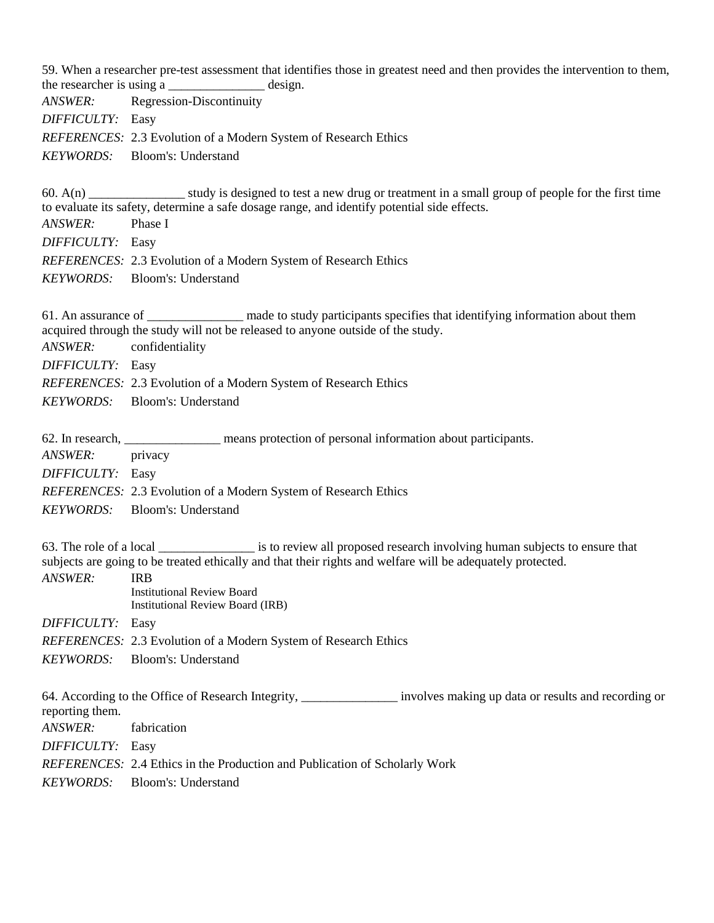59. When a researcher pre-test assessment that identifies those in greatest need and then provides the intervention to them, the researcher is using a \_\_\_\_\_\_\_\_\_\_\_\_\_\_\_\_\_\_\_ design.

*ANSWER:* Regression-Discontinuity *DIFFICULTY:* Easy *REFERENCES:* 2.3 Evolution of a Modern System of Research Ethics

*KEYWORDS:* Bloom's: Understand

 $60. A(n)$  study is designed to test a new drug or treatment in a small group of people for the first time to evaluate its safety, determine a safe dosage range, and identify potential side effects. *ANSWER:* Phase I

*DIFFICULTY:* Easy

*REFERENCES:* 2.3 Evolution of a Modern System of Research Ethics

*KEYWORDS:* Bloom's: Understand

61. An assurance of \_\_\_\_\_\_\_\_\_\_\_\_\_\_\_ made to study participants specifies that identifying information about them acquired through the study will not be released to anyone outside of the study. *ANSWER:* confidentiality *DIFFICULTY:* Easy *REFERENCES:* 2.3 Evolution of a Modern System of Research Ethics *KEYWORDS:* Bloom's: Understand

| 62. In research, | means protection of personal information about participants. |
|------------------|--------------------------------------------------------------|
|                  |                                                              |

*ANSWER:* privacy

*DIFFICULTY:* Easy

*REFERENCES:* 2.3 Evolution of a Modern System of Research Ethics

*KEYWORDS:* Bloom's: Understand

63. The role of a local is to review all proposed research involving human subjects to ensure that subjects are going to be treated ethically and that their rights and welfare will be adequately protected.

*ANSWER:* IRB Institutional Review Board Institutional Review Board (IRB)

*DIFFICULTY:* Easy

*REFERENCES:* 2.3 Evolution of a Modern System of Research Ethics

*KEYWORDS:* Bloom's: Understand

64. According to the Office of Research Integrity, \_\_\_\_\_\_\_\_\_\_\_\_\_\_\_ involves making up data or results and recording or reporting them. *ANSWER:* fabrication

*DIFFICULTY:* Easy

*REFERENCES:* 2.4 Ethics in the Production and Publication of Scholarly Work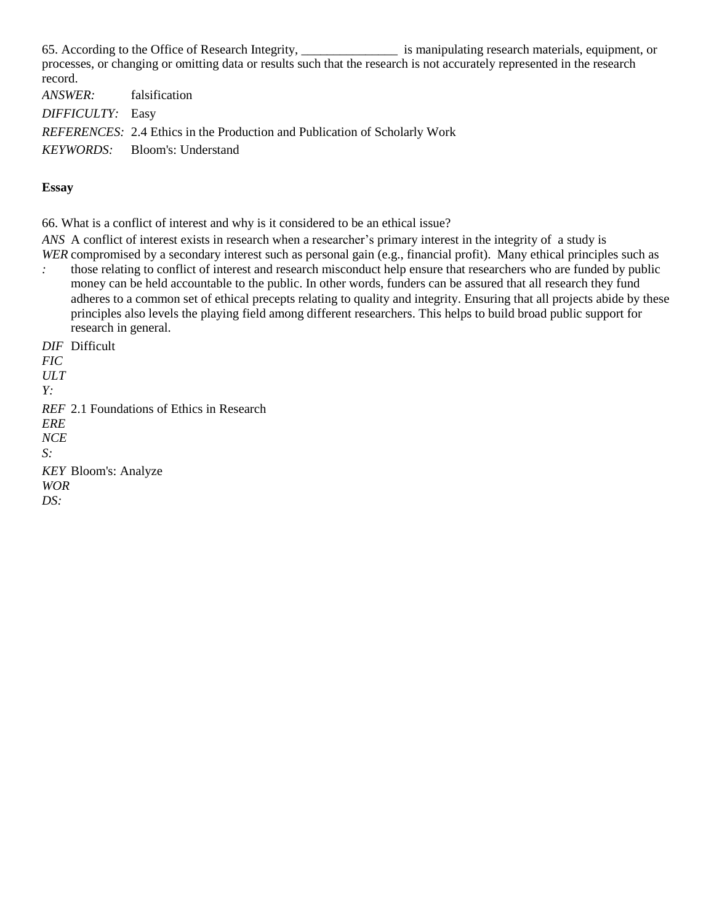65. According to the Office of Research Integrity, \_\_\_\_\_\_\_\_\_\_\_\_\_\_\_ is manipulating research materials, equipment, or processes, or changing or omitting data or results such that the research is not accurately represented in the research record.

*ANSWER:* falsification *DIFFICULTY:* Easy *REFERENCES:* 2.4 Ethics in the Production and Publication of Scholarly Work *KEYWORDS:* Bloom's: Understand

### **Essay**

66. What is a conflict of interest and why is it considered to be an ethical issue?

*ANS* A conflict of interest exists in research when a researcher's primary interest in the integrity of a study is WER compromised by a secondary interest such as personal gain (e.g., financial profit). Many ethical principles such as

*:*  those relating to conflict of interest and research misconduct help ensure that researchers who are funded by public money can be held accountable to the public. In other words, funders can be assured that all research they fund adheres to a common set of ethical precepts relating to quality and integrity. Ensuring that all projects abide by these principles also levels the playing field among different researchers. This helps to build broad public support for research in general.

*DIF* Difficult *FIC ULT Y: REF* 2.1 Foundations of Ethics in Research *ERE NCE S: KEY* Bloom's: Analyze*WOR DS:*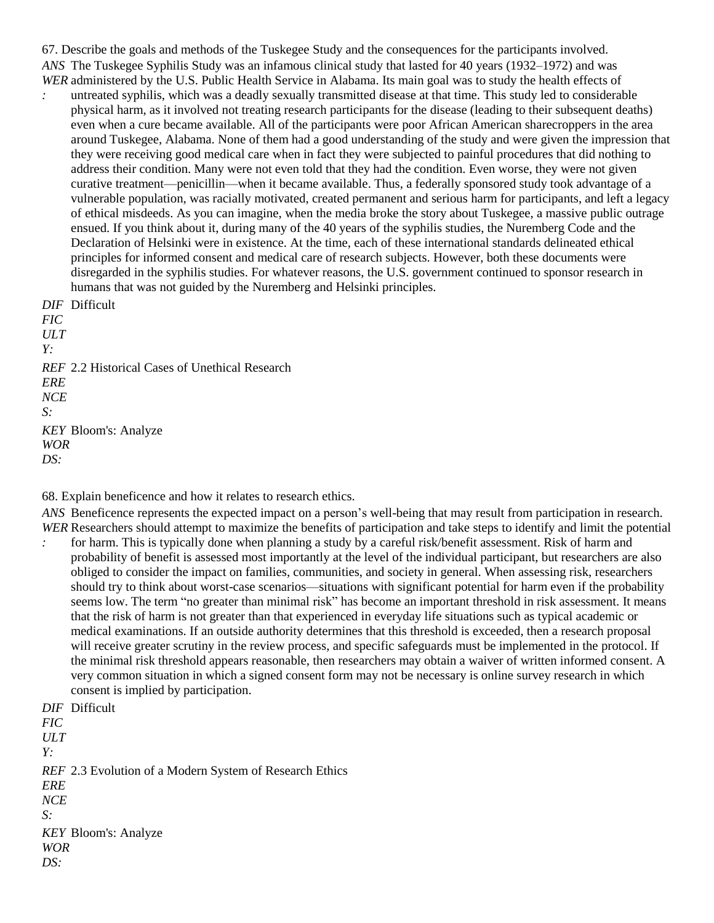67. Describe the goals and methods of the Tuskegee Study and the consequences for the participants involved. *ANS* The Tuskegee Syphilis Study was an infamous clinical study that lasted for 40 years (1932–1972) and was WER administered by the U.S. Public Health Service in Alabama. Its main goal was to study the health effects of

*:*  untreated syphilis, which was a deadly sexually transmitted disease at that time. This study led to considerable physical harm, as it involved not treating research participants for the disease (leading to their subsequent deaths) even when a cure became available. All of the participants were poor African American sharecroppers in the area around Tuskegee, Alabama. None of them had a good understanding of the study and were given the impression that they were receiving good medical care when in fact they were subjected to painful procedures that did nothing to address their condition. Many were not even told that they had the condition. Even worse, they were not given curative treatment—penicillin—when it became available. Thus, a federally sponsored study took advantage of a vulnerable population, was racially motivated, created permanent and serious harm for participants, and left a legacy of ethical misdeeds. As you can imagine, when the media broke the story about Tuskegee, a massive public outrage ensued. If you think about it, during many of the 40 years of the syphilis studies, the Nuremberg Code and the Declaration of Helsinki were in existence. At the time, each of these international standards delineated ethical principles for informed consent and medical care of research subjects. However, both these documents were disregarded in the syphilis studies. For whatever reasons, the U.S. government continued to sponsor research in humans that was not guided by the Nuremberg and Helsinki principles.

*DIF* Difficult *FIC ULT Y: REF* 2.2 Historical Cases of Unethical Research *ERE NCE S: KEY* Bloom's: Analyze *WOR DS:* 

68. Explain beneficence and how it relates to research ethics.

*ANS* Beneficence represents the expected impact on a person's well-being that may result from participation in research. *WER* Researchers should attempt to maximize the benefits of participation and take steps to identify and limit the potential

*:*  for harm. This is typically done when planning a study by a careful risk/benefit assessment. Risk of harm and probability of benefit is assessed most importantly at the level of the individual participant, but researchers are also obliged to consider the impact on families, communities, and society in general. When assessing risk, researchers should try to think about worst-case scenarios—situations with significant potential for harm even if the probability seems low. The term "no greater than minimal risk" has become an important threshold in risk assessment. It means that the risk of harm is not greater than that experienced in everyday life situations such as typical academic or medical examinations. If an outside authority determines that this threshold is exceeded, then a research proposal will receive greater scrutiny in the review process, and specific safeguards must be implemented in the protocol. If the minimal risk threshold appears reasonable, then researchers may obtain a waiver of written informed consent. A very common situation in which a signed consent form may not be necessary is online survey research in which consent is implied by participation.

*DIF* Difficult *FIC ULT Y: REF* 2.3 Evolution of a Modern System of Research Ethics *ERE NCE S: KEY* Bloom's: Analyze*WOR DS:*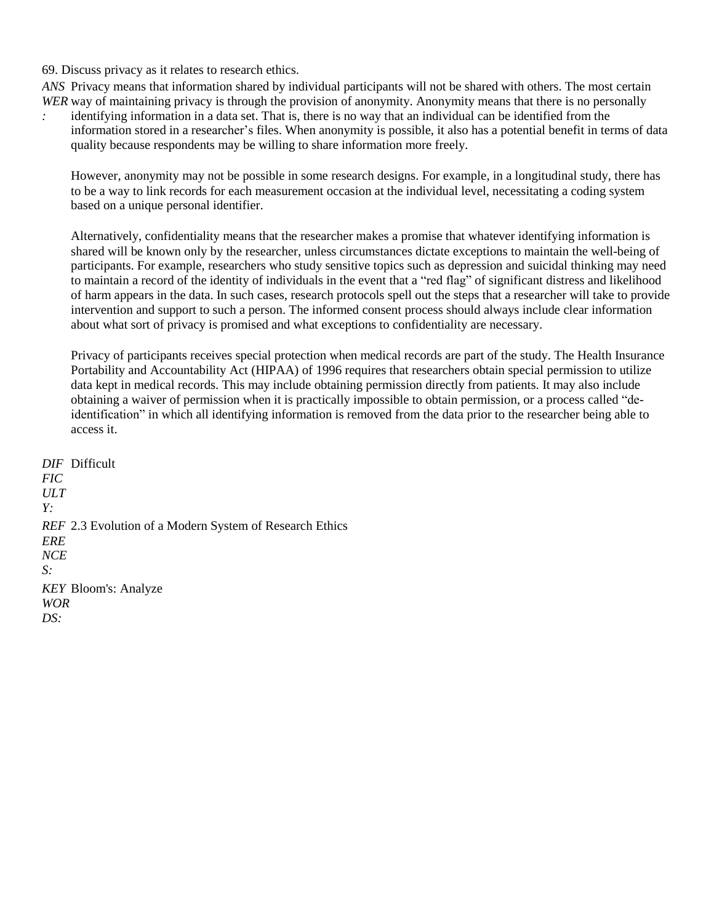69. Discuss privacy as it relates to research ethics.

*ANS* Privacy means that information shared by individual participants will not be shared with others. The most certain WER way of maintaining privacy is through the provision of anonymity. Anonymity means that there is no personally

*:*  identifying information in a data set. That is, there is no way that an individual can be identified from the information stored in a researcher's files. When anonymity is possible, it also has a potential benefit in terms of data quality because respondents may be willing to share information more freely.

However, anonymity may not be possible in some research designs. For example, in a longitudinal study, there has to be a way to link records for each measurement occasion at the individual level, necessitating a coding system based on a unique personal identifier.

Alternatively, confidentiality means that the researcher makes a promise that whatever identifying information is shared will be known only by the researcher, unless circumstances dictate exceptions to maintain the well-being of participants. For example, researchers who study sensitive topics such as depression and suicidal thinking may need to maintain a record of the identity of individuals in the event that a "red flag" of significant distress and likelihood of harm appears in the data. In such cases, research protocols spell out the steps that a researcher will take to provide intervention and support to such a person. The informed consent process should always include clear information about what sort of privacy is promised and what exceptions to confidentiality are necessary.

Privacy of participants receives special protection when medical records are part of the study. The Health Insurance Portability and Accountability Act (HIPAA) of 1996 requires that researchers obtain special permission to utilize data kept in medical records. This may include obtaining permission directly from patients. It may also include obtaining a waiver of permission when it is practically impossible to obtain permission, or a process called "deidentification" in which all identifying information is removed from the data prior to the researcher being able to access it.

*DIF* Difficult *FIC ULT Y: REF* 2.3 Evolution of a Modern System of Research Ethics *ERE NCE S: KEY* Bloom's: Analyze*WOR DS:*